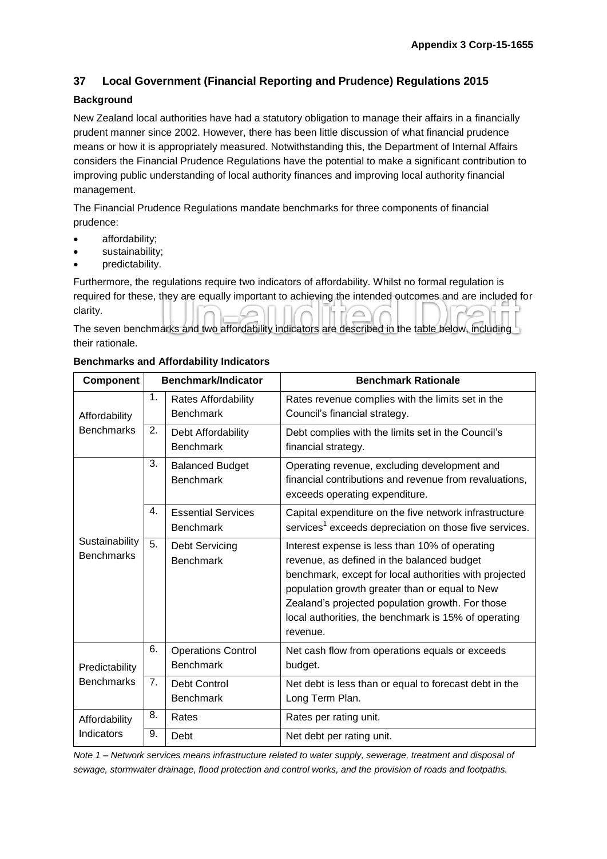# **37 Local Government (Financial Reporting and Prudence) Regulations 2015**

## **Background**

New Zealand local authorities have had a statutory obligation to manage their affairs in a financially prudent manner since 2002. However, there has been little discussion of what financial prudence means or how it is appropriately measured. Notwithstanding this, the Department of Internal Affairs considers the Financial Prudence Regulations have the potential to make a significant contribution to improving public understanding of local authority finances and improving local authority financial management.

The Financial Prudence Regulations mandate benchmarks for three components of financial prudence:

- affordability;
- sustainability;
- predictability.

Furthermore, the regulations require two indicators of affordability. Whilst no formal regulation is required for these, they are equally important to achieving the intended outcomes and are included for clarity.

The seven benchmarks and two affordability indicators are described in the table below, including their rationale.

| <b>Component</b>                    |                | Benchmark/Indicator                           | <b>Benchmark Rationale</b>                                                                                                                                                                                                                                                                                                       |
|-------------------------------------|----------------|-----------------------------------------------|----------------------------------------------------------------------------------------------------------------------------------------------------------------------------------------------------------------------------------------------------------------------------------------------------------------------------------|
| Affordability<br><b>Benchmarks</b>  | 1.             | Rates Affordability<br><b>Benchmark</b>       | Rates revenue complies with the limits set in the<br>Council's financial strategy.                                                                                                                                                                                                                                               |
|                                     | 2.             | Debt Affordability<br><b>Benchmark</b>        | Debt complies with the limits set in the Council's<br>financial strategy.                                                                                                                                                                                                                                                        |
| Sustainability<br><b>Benchmarks</b> | 3.             | <b>Balanced Budget</b><br><b>Benchmark</b>    | Operating revenue, excluding development and<br>financial contributions and revenue from revaluations,<br>exceeds operating expenditure.                                                                                                                                                                                         |
|                                     | 4.             | <b>Essential Services</b><br><b>Benchmark</b> | Capital expenditure on the five network infrastructure<br>services <sup>1</sup> exceeds depreciation on those five services.                                                                                                                                                                                                     |
|                                     | 5.             | Debt Servicing<br><b>Benchmark</b>            | Interest expense is less than 10% of operating<br>revenue, as defined in the balanced budget<br>benchmark, except for local authorities with projected<br>population growth greater than or equal to New<br>Zealand's projected population growth. For those<br>local authorities, the benchmark is 15% of operating<br>revenue. |
| Predictability<br><b>Benchmarks</b> | 6.             | <b>Operations Control</b><br><b>Benchmark</b> | Net cash flow from operations equals or exceeds<br>budget.                                                                                                                                                                                                                                                                       |
|                                     | 7 <sub>1</sub> | Debt Control<br><b>Benchmark</b>              | Net debt is less than or equal to forecast debt in the<br>Long Term Plan.                                                                                                                                                                                                                                                        |
| Affordability<br>Indicators         | 8.             | Rates                                         | Rates per rating unit.                                                                                                                                                                                                                                                                                                           |
|                                     | 9.             | Debt                                          | Net debt per rating unit.                                                                                                                                                                                                                                                                                                        |

#### **Benchmarks and Affordability Indicators**

*Note 1 – Network services means infrastructure related to water supply, sewerage, treatment and disposal of sewage, stormwater drainage, flood protection and control works, and the provision of roads and footpaths.*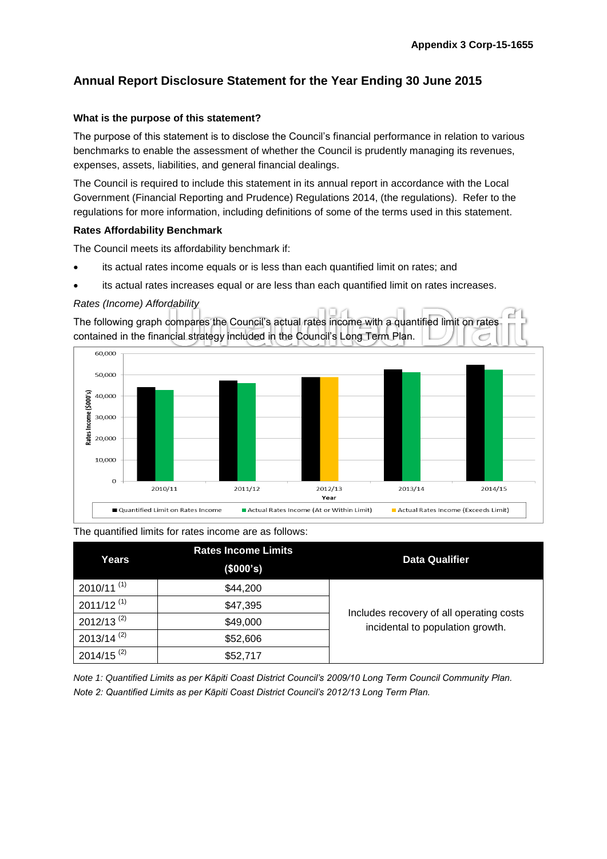# **Annual Report Disclosure Statement for the Year Ending 30 June 2015**

## **What is the purpose of this statement?**

The purpose of this statement is to disclose the Council's financial performance in relation to various benchmarks to enable the assessment of whether the Council is prudently managing its revenues, expenses, assets, liabilities, and general financial dealings.

The Council is required to include this statement in its annual report in accordance with the Local Government (Financial Reporting and Prudence) Regulations 2014, (the regulations). Refer to the regulations for more information, including definitions of some of the terms used in this statement.

#### **Rates Affordability Benchmark**

The Council meets its affordability benchmark if:

- its actual rates income equals or is less than each quantified limit on rates; and
- its actual rates increases equal or are less than each quantified limit on rates increases.

## *Rates (Income) Affordability*

The following graph compares the Council's actual rates income with a quantified limit on rates contained in the financial strategy included in the Council's Long Term Plan.



The quantified limits for rates income are as follows:

| Years                    | <b>Rates Income Limits</b><br>(\$000's) | <b>Data Qualifier</b>                    |
|--------------------------|-----------------------------------------|------------------------------------------|
| $2010/11^{(1)}$          | \$44,200                                |                                          |
| $2011/12$ <sup>(1)</sup> | \$47,395                                | Includes recovery of all operating costs |
| $2012/13^{(2)}$          | \$49,000                                | incidental to population growth.         |
| $2013/14$ <sup>(2)</sup> | \$52,606                                |                                          |
| 2014/15 <sup>(2)</sup>   | \$52,717                                |                                          |

*Note 1: Quantified Limits as per Kāpiti Coast District Council's 2009/10 Long Term Council Community Plan. Note 2: Quantified Limits as per Kāpiti Coast District Council's 2012/13 Long Term Plan.*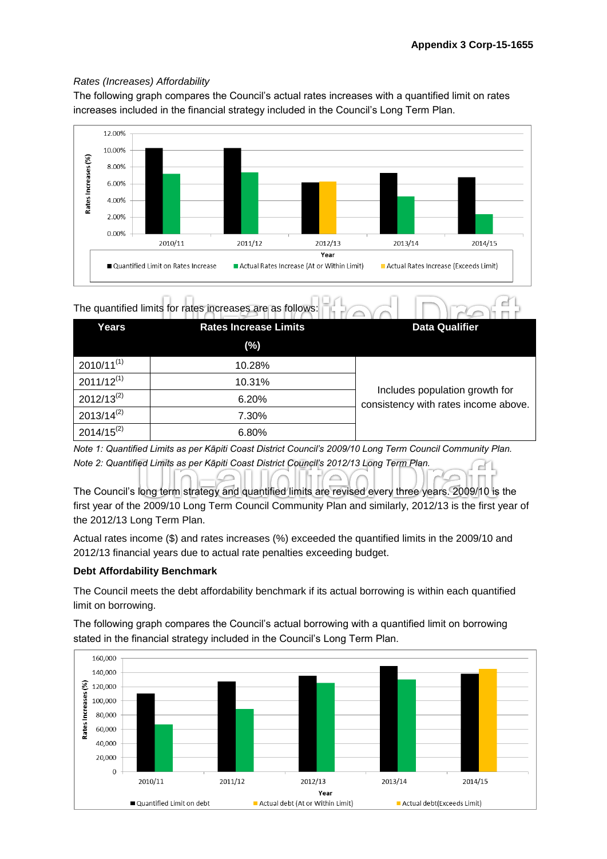## *Rates (Increases) Affordability*

The following graph compares the Council's actual rates increases with a quantified limit on rates increases included in the financial strategy included in the Council's Long Term Plan.



| The quantified limits for rates increases are as follows: |  |
|-----------------------------------------------------------|--|
|-----------------------------------------------------------|--|

| Years           | <b>Rates Increase Limits</b> | <b>Data Qualifier</b>                                                  |  |
|-----------------|------------------------------|------------------------------------------------------------------------|--|
|                 | (%)                          |                                                                        |  |
| $2010/11^{(1)}$ | 10.28%                       |                                                                        |  |
| $2011/12^{(1)}$ | 10.31%                       |                                                                        |  |
| $2012/13^{(2)}$ | 6.20%                        | Includes population growth for<br>consistency with rates income above. |  |
| $2013/14^{(2)}$ | 7.30%                        |                                                                        |  |
| $2014/15^{(2)}$ | 6.80%                        |                                                                        |  |

*Note 1: Quantified Limits as per Kāpiti Coast District Council's 2009/10 Long Term Council Community Plan. Note 2: Quantified Limits as per Kāpiti Coast District Council's 2012/13 Long Term Plan.*

 $\circ$  $\Box$ The Council's long term strategy and quantified limits are revised every three years. 2009/10 is the first year of the 2009/10 Long Term Council Community Plan and similarly, 2012/13 is the first year of the 2012/13 Long Term Plan.

Actual rates income (\$) and rates increases (%) exceeded the quantified limits in the 2009/10 and 2012/13 financial years due to actual rate penalties exceeding budget.

## **Debt Affordability Benchmark**

The Council meets the debt affordability benchmark if its actual borrowing is within each quantified limit on borrowing.

The following graph compares the Council's actual borrowing with a quantified limit on borrowing stated in the financial strategy included in the Council's Long Term Plan.

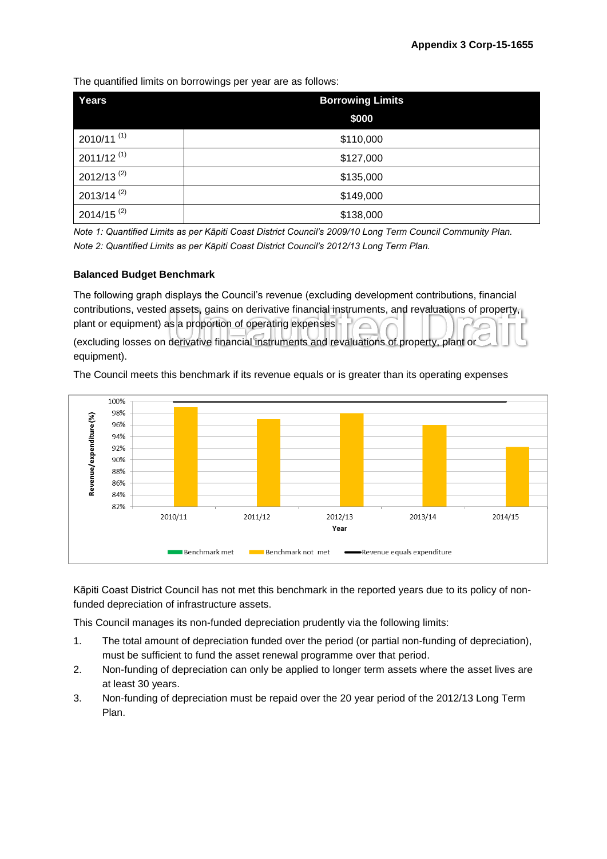The quantified limits on borrowings per year are as follows:

| Years                    | <b>Borrowing Limits</b> |  |
|--------------------------|-------------------------|--|
|                          | \$000                   |  |
| $2010/11^{(1)}$          | \$110,000               |  |
| $2011/12^{(1)}$          | \$127,000               |  |
| 2012/13 <sup>(2)</sup>   | \$135,000               |  |
| $2013/14$ <sup>(2)</sup> | \$149,000               |  |
| $2014/15$ <sup>(2)</sup> | \$138,000               |  |

*Note 1: Quantified Limits as per Kāpiti Coast District Council's 2009/10 Long Term Council Community Plan. Note 2: Quantified Limits as per Kāpiti Coast District Council's 2012/13 Long Term Plan.*

## **Balanced Budget Benchmark**

The following graph displays the Council's revenue (excluding development contributions, financial contributions, vested assets, gains on derivative financial instruments, and revaluations of property, plant or equipment) as a proportion of operating expenses (excluding losses on derivative financial instruments and revaluations of property, plant or equipment).

The Council meets this benchmark if its revenue equals or is greater than its operating expenses



Kāpiti Coast District Council has not met this benchmark in the reported years due to its policy of nonfunded depreciation of infrastructure assets.

This Council manages its non-funded depreciation prudently via the following limits:

- 1. The total amount of depreciation funded over the period (or partial non-funding of depreciation), must be sufficient to fund the asset renewal programme over that period.
- 2. Non-funding of depreciation can only be applied to longer term assets where the asset lives are at least 30 years.
- 3. Non-funding of depreciation must be repaid over the 20 year period of the 2012/13 Long Term Plan.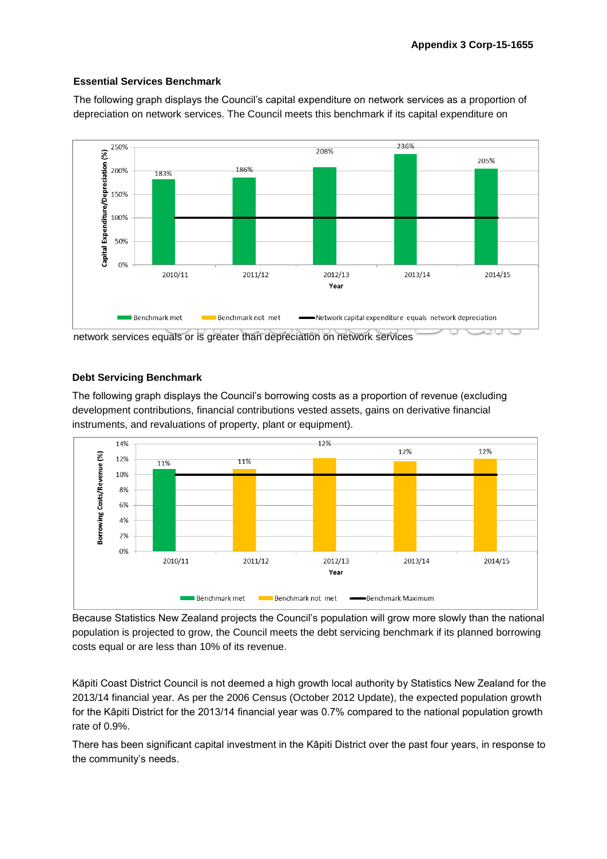## **Essential Services Benchmark**

The following graph displays the Council's capital expenditure on network services as a proportion of depreciation on network services. The Council meets this benchmark if its capital expenditure on



network services equals or is greater than depreciation on network services

#### **Debt Servicing Benchmark**

The following graph displays the Council's borrowing costs as a proportion of revenue (excluding development contributions, financial contributions vested assets, gains on derivative financial instruments, and revaluations of property, plant or equipment).



Because Statistics New Zealand projects the Council's population will grow more slowly than the national population is projected to grow, the Council meets the debt servicing benchmark if its planned borrowing costs equal or are less than 10% of its revenue.

Kāpiti Coast District Council is not deemed a high growth local authority by Statistics New Zealand for the 2013/14 financial year. As per the 2006 Census (October 2012 Update), the expected population growth for the Kāpiti District for the 2013/14 financial year was 0.7% compared to the national population growth rate of 0.9%.

There has been significant capital investment in the Kāpiti District over the past four years, in response to the community's needs.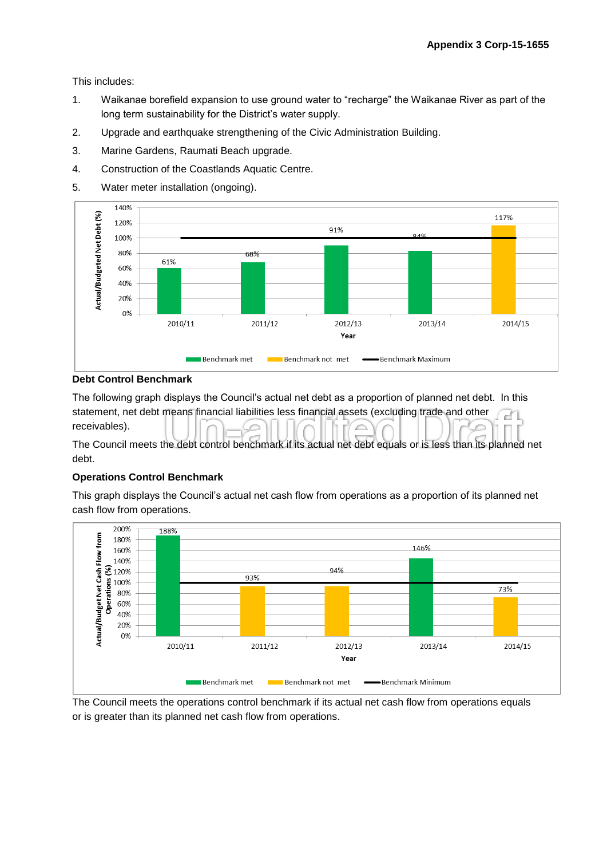This includes:

- 1. Waikanae borefield expansion to use ground water to "recharge" the Waikanae River as part of the long term sustainability for the District's water supply.
- 2. Upgrade and earthquake strengthening of the Civic Administration Building.
- 3. Marine Gardens, Raumati Beach upgrade.
- 4. Construction of the Coastlands Aquatic Centre.
- 5. Water meter installation (ongoing).



## **Debt Control Benchmark**

The following graph displays the Council's actual net debt as a proportion of planned net debt. In this statement, net debt means financial liabilities less financial assets (excluding trade and other ď۱ receivables).

The Council meets the debt control benchmark if its actual net debt equals or is less than its planned net debt.

## **Operations Control Benchmark**

This graph displays the Council's actual net cash flow from operations as a proportion of its planned net cash flow from operations.



The Council meets the operations control benchmark if its actual net cash flow from operations equals or is greater than its planned net cash flow from operations.